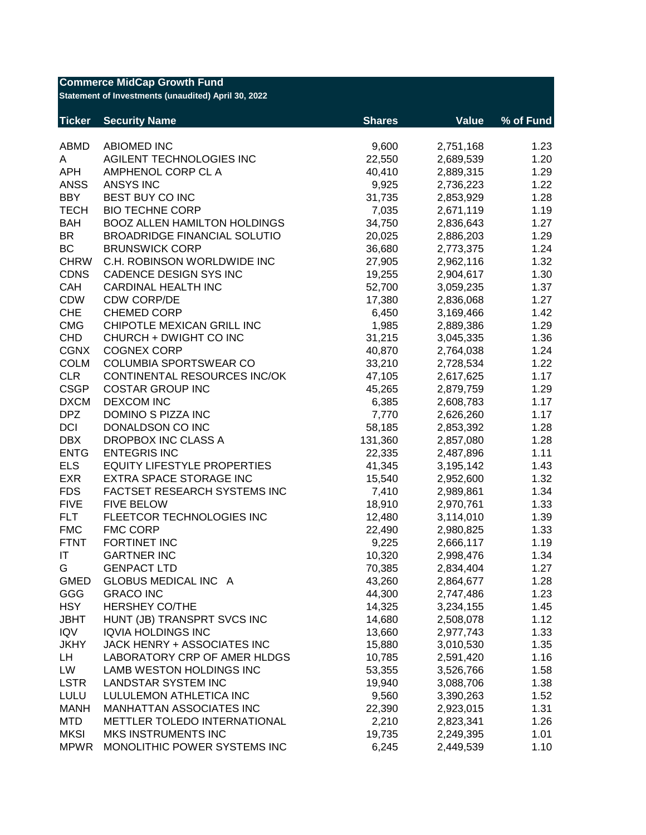| <b>Commerce MidCap Growth Fund</b><br>Statement of Investments (unaudited) April 30, 2022 |                                     |               |                        |           |  |  |
|-------------------------------------------------------------------------------------------|-------------------------------------|---------------|------------------------|-----------|--|--|
| <b>Ticker</b>                                                                             | <b>Security Name</b>                | <b>Shares</b> | <b>Value</b>           | % of Fund |  |  |
| <b>ABMD</b>                                                                               | <b>ABIOMED INC</b>                  | 9,600         | 2,751,168              | 1.23      |  |  |
| A                                                                                         | AGILENT TECHNOLOGIES INC            | 22,550        | 2,689,539              | 1.20      |  |  |
| <b>APH</b>                                                                                | AMPHENOL CORP CL A                  | 40,410        | 2,889,315              | 1.29      |  |  |
| <b>ANSS</b>                                                                               | <b>ANSYS INC</b>                    | 9,925         | 2,736,223              | 1.22      |  |  |
| <b>BBY</b>                                                                                | BEST BUY CO INC                     | 31,735        | 2,853,929              | 1.28      |  |  |
| <b>TECH</b>                                                                               | <b>BIO TECHNE CORP</b>              | 7,035         | 2,671,119              | 1.19      |  |  |
| <b>BAH</b>                                                                                | <b>BOOZ ALLEN HAMILTON HOLDINGS</b> | 34,750        | 2,836,643              | 1.27      |  |  |
| <b>BR</b>                                                                                 | <b>BROADRIDGE FINANCIAL SOLUTIO</b> | 20,025        | 2,886,203              | 1.29      |  |  |
| <b>BC</b>                                                                                 | <b>BRUNSWICK CORP</b>               | 36,680        | 2,773,375              | 1.24      |  |  |
| <b>CHRW</b>                                                                               | C.H. ROBINSON WORLDWIDE INC         | 27,905        | 2,962,116              | 1.32      |  |  |
| <b>CDNS</b>                                                                               | CADENCE DESIGN SYS INC              | 19,255        | 2,904,617              | 1.30      |  |  |
| CAH                                                                                       | <b>CARDINAL HEALTH INC</b>          | 52,700        | 3,059,235              | 1.37      |  |  |
| <b>CDW</b>                                                                                | <b>CDW CORP/DE</b>                  | 17,380        | 2,836,068              | 1.27      |  |  |
| <b>CHE</b>                                                                                | <b>CHEMED CORP</b>                  | 6,450         | 3,169,466              | 1.42      |  |  |
| <b>CMG</b>                                                                                | CHIPOTLE MEXICAN GRILL INC          | 1,985         | 2,889,386              | 1.29      |  |  |
| <b>CHD</b>                                                                                | CHURCH + DWIGHT CO INC              | 31,215        | 3,045,335              | 1.36      |  |  |
| <b>CGNX</b>                                                                               | <b>COGNEX CORP</b>                  | 40,870        | 2,764,038              | 1.24      |  |  |
| <b>COLM</b>                                                                               | <b>COLUMBIA SPORTSWEAR CO</b>       | 33,210        | 2,728,534              | 1.22      |  |  |
| <b>CLR</b>                                                                                | CONTINENTAL RESOURCES INC/OK        | 47,105        | 2,617,625              | 1.17      |  |  |
| <b>CSGP</b>                                                                               | <b>COSTAR GROUP INC</b>             | 45,265        | 2,879,759              | 1.29      |  |  |
| <b>DXCM</b>                                                                               | <b>DEXCOM INC</b>                   | 6,385         | 2,608,783              | 1.17      |  |  |
| <b>DPZ</b>                                                                                | DOMINO S PIZZA INC                  | 7,770         | 2,626,260              | 1.17      |  |  |
| <b>DCI</b>                                                                                | DONALDSON CO INC                    | 58,185        | 2,853,392              | 1.28      |  |  |
| <b>DBX</b>                                                                                | DROPBOX INC CLASS A                 | 131,360       | 2,857,080              | 1.28      |  |  |
| <b>ENTG</b>                                                                               | <b>ENTEGRIS INC</b>                 | 22,335        | 2,487,896              | 1.11      |  |  |
| <b>ELS</b>                                                                                | <b>EQUITY LIFESTYLE PROPERTIES</b>  | 41,345        | 3,195,142              | 1.43      |  |  |
| <b>EXR</b>                                                                                | <b>EXTRA SPACE STORAGE INC</b>      | 15,540        | 2,952,600              | 1.32      |  |  |
| <b>FDS</b>                                                                                | FACTSET RESEARCH SYSTEMS INC        | 7,410         | 2,989,861              | 1.34      |  |  |
| <b>FIVE</b>                                                                               | <b>FIVE BELOW</b>                   | 18,910        | 2,970,761              | 1.33      |  |  |
| <b>FLT</b>                                                                                | FLEETCOR TECHNOLOGIES INC           | 12,480        | 3,114,010              | 1.39      |  |  |
| <b>FMC</b>                                                                                | <b>FMC CORP</b>                     | 22,490        | 2,980,825              | 1.33      |  |  |
| <b>FTNT</b>                                                                               | FORTINET INC                        | 9,225         | 2,666,117              | 1.19      |  |  |
| IT                                                                                        | <b>GARTNER INC</b>                  | 10,320        | 2,998,476              | 1.34      |  |  |
| G                                                                                         | <b>GENPACT LTD</b>                  | 70,385        | 2,834,404              | 1.27      |  |  |
| <b>GMED</b>                                                                               | GLOBUS MEDICAL INC A                | 43,260        | 2,864,677              | 1.28      |  |  |
| GGG                                                                                       | <b>GRACO INC</b>                    | 44,300        | 2,747,486              | 1.23      |  |  |
| <b>HSY</b>                                                                                | <b>HERSHEY CO/THE</b>               | 14,325        | 3,234,155              | 1.45      |  |  |
| <b>JBHT</b>                                                                               | HUNT (JB) TRANSPRT SVCS INC         | 14,680        | 2,508,078              | 1.12      |  |  |
| <b>IQV</b>                                                                                | <b>IQVIA HOLDINGS INC</b>           | 13,660        | 2,977,743              | 1.33      |  |  |
| <b>JKHY</b>                                                                               | JACK HENRY + ASSOCIATES INC         | 15,880        |                        | 1.35      |  |  |
|                                                                                           | LABORATORY CRP OF AMER HLDGS        |               | 3,010,530<br>2,591,420 |           |  |  |
| LH<br>LW                                                                                  |                                     | 10,785        |                        | 1.16      |  |  |
| <b>LSTR</b>                                                                               | LAMB WESTON HOLDINGS INC            | 53,355        | 3,526,766              | 1.58      |  |  |
|                                                                                           | <b>LANDSTAR SYSTEM INC</b>          | 19,940        | 3,088,706              | 1.38      |  |  |
| <b>LULU</b>                                                                               | LULULEMON ATHLETICA INC             | 9,560         | 3,390,263              | 1.52      |  |  |
| <b>MANH</b>                                                                               | MANHATTAN ASSOCIATES INC            | 22,390        | 2,923,015              | 1.31      |  |  |
| <b>MTD</b>                                                                                | METTLER TOLEDO INTERNATIONAL        | 2,210         | 2,823,341              | 1.26      |  |  |
| <b>MKSI</b>                                                                               | <b>MKS INSTRUMENTS INC</b>          | 19,735        | 2,249,395              | 1.01      |  |  |
| <b>MPWR</b>                                                                               | MONOLITHIC POWER SYSTEMS INC        | 6,245         | 2,449,539              | 1.10      |  |  |